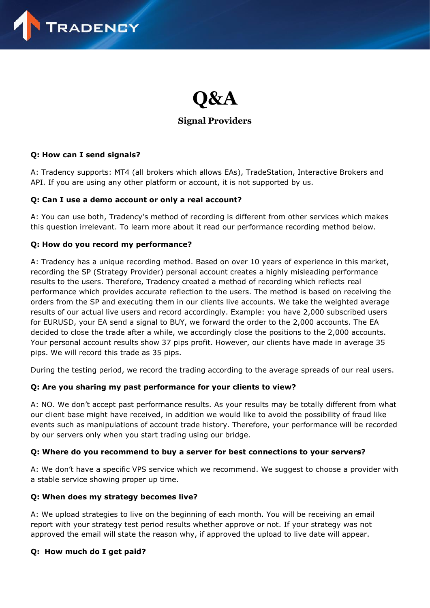

# **Q&A**

## **Signal Providers**

#### **Q: How can I send signals?**

A: Tradency supports: MT4 (all brokers which allows EAs), TradeStation, Interactive Brokers and API. If you are using any other platform or account, it is not supported by us.

#### **Q: Can I use a demo account or only a real account?**

A: You can use both, Tradency's method of recording is different from other services which makes this question irrelevant. To learn more about it read our performance recording method below.

#### **Q: How do you record my performance?**

A: Tradency has a unique recording method. Based on over 10 years of experience in this market, recording the SP (Strategy Provider) personal account creates a highly misleading performance results to the users. Therefore, Tradency created a method of recording which reflects real performance which provides accurate reflection to the users. The method is based on receiving the orders from the SP and executing them in our clients live accounts. We take the weighted average results of our actual live users and record accordingly. Example: you have 2,000 subscribed users for EURUSD, your EA send a signal to BUY, we forward the order to the 2,000 accounts. The EA decided to close the trade after a while, we accordingly close the positions to the 2,000 accounts. Your personal account results show 37 pips profit. However, our clients have made in average 35 pips. We will record this trade as 35 pips.

During the testing period, we record the trading according to the average spreads of our real users.

## **Q: Are you sharing my past performance for your clients to view?**

A: NO. We don't accept past performance results. As your results may be totally different from what our client base might have received, in addition we would like to avoid the possibility of fraud like events such as manipulations of account trade history. Therefore, your performance will be recorded by our servers only when you start trading using our bridge.

#### **Q: Where do you recommend to buy a server for best connections to your servers?**

A: We don't have a specific VPS service which we recommend. We suggest to choose a provider with a stable service showing proper up time.

#### **Q: When does my strategy becomes live?**

A: We upload strategies to live on the beginning of each month. You will be receiving an email report with your strategy test period results whether approve or not. If your strategy was not approved the email will state the reason why, if approved the upload to live date will appear.

#### **Q: How much do I get paid?**